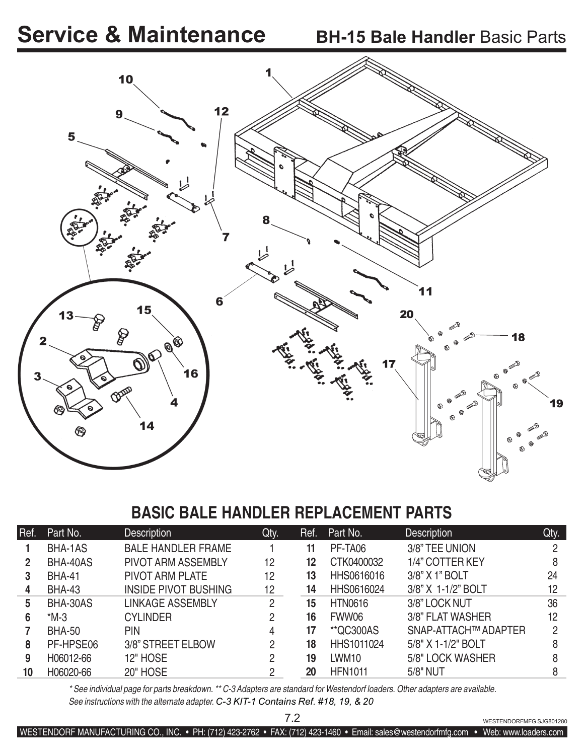# **Service & Maintenance**



### **BASIC BALE HANDLER REPLACEMENT PARTS**

| Ref. | Part No.      | <b>Description</b>          | Qty. | Ref. | Part No.          | <b>Description</b>   | Qty. |
|------|---------------|-----------------------------|------|------|-------------------|----------------------|------|
|      | BHA-1AS       | <b>BALE HANDLER FRAME</b>   |      | 11   | PF-TA06           | 3/8" TEE UNION       | 2    |
| 2    | BHA-40AS      | <b>PIVOT ARM ASSEMBLY</b>   | 12   | 12   | CTK0400032        | 1/4" COTTER KEY      | 8    |
| 3    | <b>BHA-41</b> | <b>PIVOT ARM PLATE</b>      | 12   | 13   | HHS0616016        | 3/8" X 1" BOLT       | 24   |
| 4    | <b>BHA-43</b> | <b>INSIDE PIVOT BUSHING</b> | 12   | 14   | HHS0616024        | 3/8" X 1-1/2" BOLT   | 12   |
| 5    | BHA-30AS      | <b>LINKAGE ASSEMBLY</b>     | 2    | 15   | <b>HTN0616</b>    | 3/8" LOCK NUT        | 36   |
| 6    | $*M-3$        | <b>CYLINDER</b>             | 2    | 16   | FWW06             | 3/8" FLAT WASHER     | 12   |
|      | <b>BHA-50</b> | <b>PIN</b>                  | 4    | 17   | **QC300AS         | SNAP-ATTACH™ ADAPTER | 2    |
| 8    | PF-HPSE06     | 3/8" STREET ELBOW           | 2    | 18   | <b>HHS1011024</b> | 5/8" X 1-1/2" BOLT   | 8    |
| 9    | H06012-66     | 12" HOSE                    | 2    | 19   | LWM <sub>10</sub> | 5/8" LOCK WASHER     | 8    |
| 10   | H06020-66     | <b>20" HOSE</b>             | 2    | 20   | <b>HFN1011</b>    | 5/8" NUT             | 8    |
|      |               |                             |      |      |                   |                      |      |

*\* See individual page for parts breakdown. \*\* C-3 Adapters are standard for Westendorf loaders. Other adapters are available. See instructions with the alternate adapter. C-3 KIT-1 Contains Ref. #18, 19, & 20*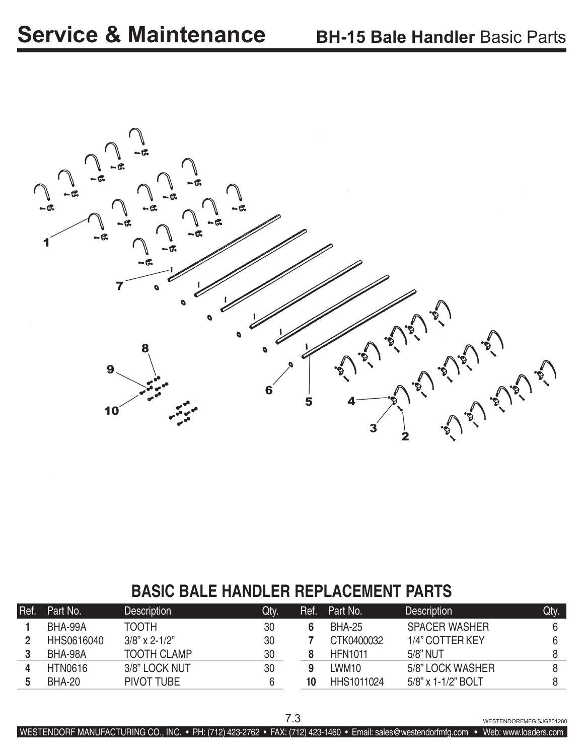

# **BASIC BALE HANDLER REPLACEMENT PARTS**

| Ref. | Part No.       | <b>Description</b> | Qty. | Ref. | Part No.          | <b>Description</b>    | Qty. |
|------|----------------|--------------------|------|------|-------------------|-----------------------|------|
|      | BHA-99A        | TOOTH              | 30   |      | BHA-25            | <b>SPACER WASHER</b>  | 6    |
|      | HHS0616040     | $3/8$ " x 2-1/2"   | 30   |      | CTK0400032        | 1/4" COTTER KEY       | 6    |
|      | BHA-98A        | <b>TOOTH CLAMP</b> | 30   |      | <b>HFN1011</b>    | 5/8" NUT              |      |
|      | <b>HTN0616</b> | 3/8" LOCK NUT      | 30   |      | LWM <sub>10</sub> | 5/8" LOCK WASHER      |      |
|      | BHA-20         | PIVOT TUBE         | 6    | 10   | HHS1011024        | $5/8$ " x 1-1/2" BOLT |      |

7.3 WESTENDORFMFG SJG801280

WESTENDORF MANUFACTURING CO., INC. • PH: (712) 423-2762 • FAX: (712) 423-1460 • Email: sales@westendorfmfg.com • Web: www.loaders.com